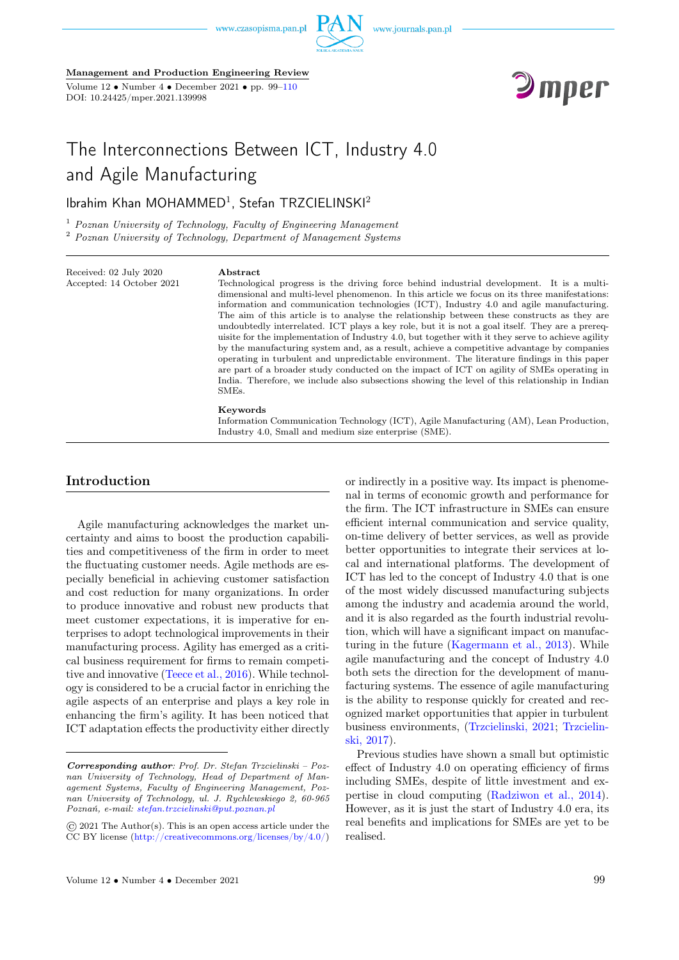

Management and Production Engineering Review

Volume  $12 \cdot \text{Number } 4 \cdot \text{December } 2021 \cdot \text{pp. } 99-110$ DOI: 10.24425/mper.2021.139998



# The Interconnections Between ICT, Industry 4.0 and Agile Manufacturing

Ibrahim Khan MOHAMMED<sup>1</sup>, Stefan TRZCIELINSKI<sup>2</sup>

 $1$  Poznan University of Technology, Faculty of Engineering Management <sup>2</sup> Poznan University of Technology, Department of Management Systems

Received: 02 July 2020 Accepted: 14 October 2021

#### Abstract

Technological progress is the driving force behind industrial development. It is a multidimensional and multi-level phenomenon. In this article we focus on its three manifestations: information and communication technologies (ICT), Industry 4.0 and agile manufacturing. The aim of this article is to analyse the relationship between these constructs as they are undoubtedly interrelated. ICT plays a key role, but it is not a goal itself. They are a prerequisite for the implementation of Industry 4.0, but together with it they serve to achieve agility by the manufacturing system and, as a result, achieve a competitive advantage by companies operating in turbulent and unpredictable environment. The literature findings in this paper are part of a broader study conducted on the impact of ICT on agility of SMEs operating in India. Therefore, we include also subsections showing the level of this relationship in Indian SMEs.

#### Keywords

Information Communication Technology (ICT), Agile Manufacturing (AM), Lean Production, Industry 4.0, Small and medium size enterprise (SME).

# Introduction

Agile manufacturing acknowledges the market uncertainty and aims to boost the production capabilities and competitiveness of the firm in order to meet the fluctuating customer needs. Agile methods are especially beneficial in achieving customer satisfaction and cost reduction for many organizations. In order to produce innovative and robust new products that meet customer expectations, it is imperative for enterprises to adopt technological improvements in their manufacturing process. Agility has emerged as a critical business requirement for firms to remain competitive and innovative [\(Teece et al., 2016\)](#page-8-0). While technology is considered to be a crucial factor in enriching the agile aspects of an enterprise and plays a key role in enhancing the firm's agility. It has been noticed that ICT adaptation effects the productivity either directly or indirectly in a positive way. Its impact is phenomenal in terms of economic growth and performance for the firm. The ICT infrastructure in SMEs can ensure efficient internal communication and service quality, on-time delivery of better services, as well as provide better opportunities to integrate their services at local and international platforms. The development of ICT has led to the concept of Industry 4.0 that is one of the most widely discussed manufacturing subjects among the industry and academia around the world, and it is also regarded as the fourth industrial revolution, which will have a significant impact on manufacturing in the future [\(Kagermann et al., 2013\)](#page-8-0). While agile manufacturing and the concept of Industry 4.0 both sets the direction for the development of manufacturing systems. The essence of agile manufacturing is the ability to response quickly for created and recognized market opportunities that appier in turbulent business environments, [\(Trzcielinski, 2021;](#page-8-0) [Trzcielin](#page-8-0)[ski, 2017\)](#page-8-0).

Previous studies have shown a small but optimistic effect of Industry 4.0 on operating efficiency of firms including SMEs, despite of little investment and expertise in cloud computing [\(Radziwon et al., 2014\)](#page-8-0). However, as it is just the start of Industry 4.0 era, its real benefits and implications for SMEs are yet to be realised.

Corresponding author: Prof. Dr. Stefan Trzcielinski – Poznan University of Technology, Head of Department of Management Systems, Faculty of Engineering Management, Poznan University of Technology, ul. J. Rychlewskiego 2, 60-965 Poznań, e-mail: [stefan.trzcielinski@put.poznan.pl](mailto:stefan.trzcielinski@put.poznan.pl)

<sup>©</sup> 2021 The Author(s). This is an open access article under the CC BY license [\(http://creativecommons.org/licenses/by/4.0/\)](http://creativecommons.org/licenses/by/4.0/)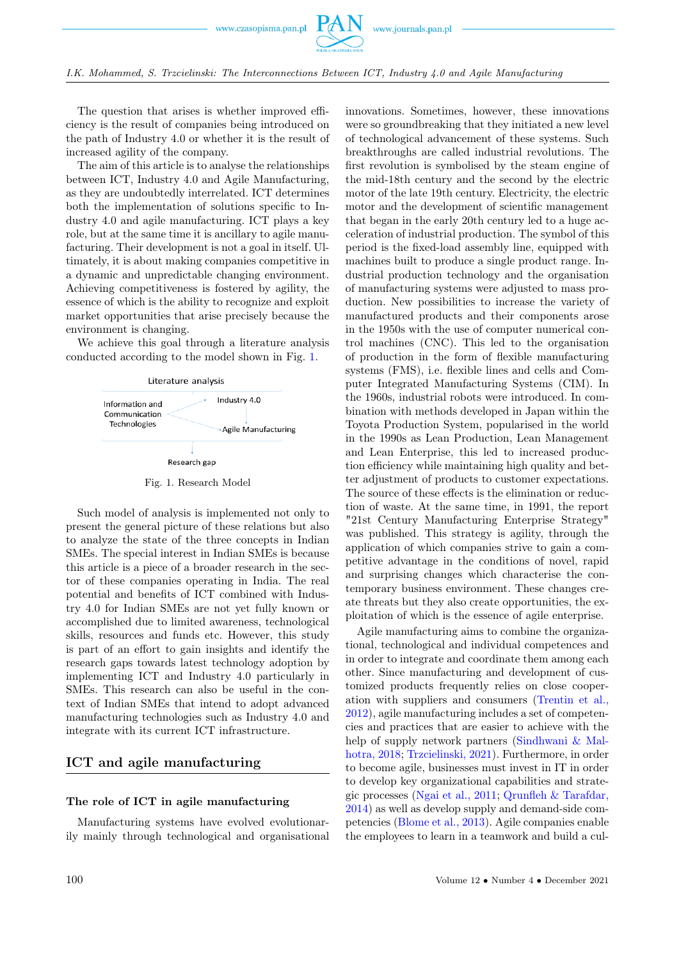

The question that arises is whether improved efficiency is the result of companies being introduced on the path of Industry 4.0 or whether it is the result of increased agility of the company.

The aim of this article is to analyse the relationships between ICT, Industry 4.0 and Agile Manufacturing, as they are undoubtedly interrelated. ICT determines both the implementation of solutions specific to Industry 4.0 and agile manufacturing. ICT plays a key role, but at the same time it is ancillary to agile manufacturing. Their development is not a goal in itself. Ultimately, it is about making companies competitive in a dynamic and unpredictable changing environment. Achieving competitiveness is fostered by agility, the essence of which is the ability to recognize and exploit market opportunities that arise precisely because the environment is changing.

We achieve this goal through a literature analysis conducted according to the model shown in Fig. [1.](#page-1-0)

<span id="page-1-0"></span>

Fig. 1. Research Model

Such model of analysis is implemented not only to present the general picture of these relations but also to analyze the state of the three concepts in Indian SMEs. The special interest in Indian SMEs is because this article is a piece of a broader research in the sector of these companies operating in India. The real potential and benefits of ICT combined with Industry 4.0 for Indian SMEs are not yet fully known or accomplished due to limited awareness, technological skills, resources and funds etc. However, this study is part of an effort to gain insights and identify the research gaps towards latest technology adoption by implementing ICT and Industry 4.0 particularly in SMEs. This research can also be useful in the context of Indian SMEs that intend to adopt advanced manufacturing technologies such as Industry 4.0 and integrate with its current ICT infrastructure.

# ICT and agile manufacturing

### The role of ICT in agile manufacturing

Manufacturing systems have evolved evolutionarily mainly through technological and organisational innovations. Sometimes, however, these innovations were so groundbreaking that they initiated a new level of technological advancement of these systems. Such breakthroughs are called industrial revolutions. The first revolution is symbolised by the steam engine of the mid-18th century and the second by the electric motor of the late 19th century. Electricity, the electric motor and the development of scientific management that began in the early 20th century led to a huge acceleration of industrial production. The symbol of this period is the fixed-load assembly line, equipped with machines built to produce a single product range. Industrial production technology and the organisation of manufacturing systems were adjusted to mass production. New possibilities to increase the variety of manufactured products and their components arose in the 1950s with the use of computer numerical control machines (CNC). This led to the organisation of production in the form of flexible manufacturing systems (FMS), i.e. flexible lines and cells and Computer Integrated Manufacturing Systems (CIM). In the 1960s, industrial robots were introduced. In combination with methods developed in Japan within the Toyota Production System, popularised in the world in the 1990s as Lean Production, Lean Management and Lean Enterprise, this led to increased production efficiency while maintaining high quality and better adjustment of products to customer expectations. The source of these effects is the elimination or reduction of waste. At the same time, in 1991, the report "21st Century Manufacturing Enterprise Strategy" was published. This strategy is agility, through the application of which companies strive to gain a competitive advantage in the conditions of novel, rapid and surprising changes which characterise the contemporary business environment. These changes create threats but they also create opportunities, the exploitation of which is the essence of agile enterprise.

Agile manufacturing aims to combine the organizational, technological and individual competences and in order to integrate and coordinate them among each other. Since manufacturing and development of customized products frequently relies on close cooperation with suppliers and consumers [\(Trentin et al.,](#page-8-0) [2012\)](#page-8-0), agile manufacturing includes a set of competencies and practices that are easier to achieve with the help of supply network partners [\(Sindhwani & Mal](#page-8-0)[hotra, 2018;](#page-8-0) [Trzcielinski, 2021\)](#page-8-0). Furthermore, in order to become agile, businesses must invest in IT in order to develop key organizational capabilities and strategic processes [\(Ngai et al., 2011;](#page-8-0) [Qrunfleh & Tarafdar,](#page-8-0) [2014\)](#page-8-0) as well as develop supply and demand-side competencies [\(Blome et al., 2013\)](#page-8-0). Agile companies enable the employees to learn in a teamwork and build a cul-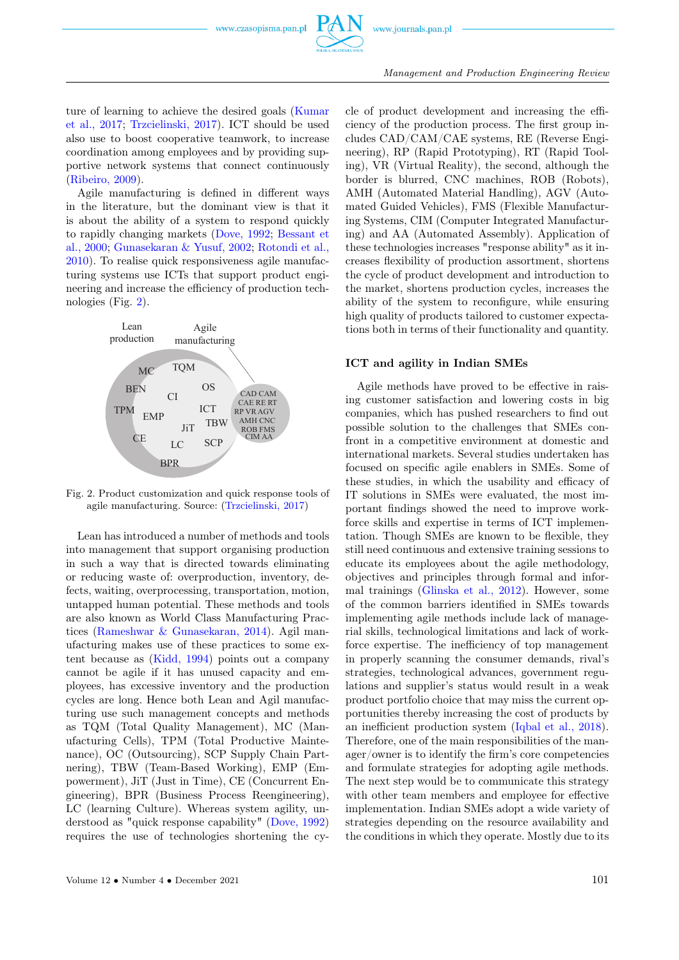

ture of learning to achieve the desired goals [\(Kumar](#page-8-0) [et al., 2017;](#page-8-0) [Trzcielinski, 2017\)](#page-8-0). ICT should be used also use to boost cooperative teamwork, to increase coordination among employees and by providing supportive network systems that connect continuously [\(Ribeiro, 2009\)](#page-8-0).

Agile manufacturing is defined in different ways in the literature, but the dominant view is that it is about the ability of a system to respond quickly to rapidly changing markets [\(Dove, 1992;](#page-8-0) [Bessant et](#page-8-0) [al., 2000;](#page-8-0) [Gunasekaran & Yusuf, 2002;](#page-8-0) [Rotondi et al.,](#page-8-0) [2010\)](#page-8-0). To realise quick responsiveness agile manufacturing systems use ICTs that support product engineering and increase the efficiency of production technologies (Fig. [2\)](#page-2-0).

<span id="page-2-0"></span>

Fig. 2. Product customization and quick response tools of agile manufacturing. Source: [\(Trzcielinski, 2017\)](#page-8-0)

Lean has introduced a number of methods and tools into management that support organising production in such a way that is directed towards eliminating or reducing waste of: overproduction, inventory, defects, waiting, overprocessing, transportation, motion, untapped human potential. These methods and tools are also known as World Class Manufacturing Practices [\(Rameshwar & Gunasekaran, 2014\)](#page-8-0). Agil manufacturing makes use of these practices to some extent because as [\(Kidd, 1994\)](#page-8-0) points out a company cannot be agile if it has unused capacity and employees, has excessive inventory and the production cycles are long. Hence both Lean and Agil manufacturing use such management concepts and methods as TQM (Total Quality Management), MC (Manufacturing Cells), TPM (Total Productive Maintenance), OC (Outsourcing), SCP Supply Chain Partnering), TBW (Team-Based Working), EMP (Empowerment), JiT (Just in Time), CE (Concurrent Engineering), BPR (Business Process Reengineering), LC (learning Culture). Whereas system agility, understood as "quick response capability" [\(Dove, 1992\)](#page-8-0) requires the use of technologies shortening the cycle of product development and increasing the efficiency of the production process. The first group includes CAD/CAM/CAE systems, RE (Reverse Engineering), RP (Rapid Prototyping), RT (Rapid Tooling), VR (Virtual Reality), the second, although the border is blurred, CNC machines, ROB (Robots), AMH (Automated Material Handling), AGV (Automated Guided Vehicles), FMS (Flexible Manufacturing Systems, CIM (Computer Integrated Manufacturing) and AA (Automated Assembly). Application of these technologies increases "response ability" as it increases flexibility of production assortment, shortens the cycle of product development and introduction to the market, shortens production cycles, increases the ability of the system to reconfigure, while ensuring high quality of products tailored to customer expectations both in terms of their functionality and quantity.

#### ICT and agility in Indian SMEs

Agile methods have proved to be effective in raising customer satisfaction and lowering costs in big companies, which has pushed researchers to find out possible solution to the challenges that SMEs confront in a competitive environment at domestic and international markets. Several studies undertaken has focused on specific agile enablers in SMEs. Some of these studies, in which the usability and efficacy of IT solutions in SMEs were evaluated, the most important findings showed the need to improve workforce skills and expertise in terms of ICT implementation. Though SMEs are known to be flexible, they still need continuous and extensive training sessions to educate its employees about the agile methodology, objectives and principles through formal and informal trainings [\(Glinska et al., 2012\)](#page-8-0). However, some of the common barriers identified in SMEs towards implementing agile methods include lack of managerial skills, technological limitations and lack of workforce expertise. The inefficiency of top management in properly scanning the consumer demands, rival's strategies, technological advances, government regulations and supplier's status would result in a weak product portfolio choice that may miss the current opportunities thereby increasing the cost of products by an inefficient production system [\(Iqbal et al., 2018\)](#page-8-0). Therefore, one of the main responsibilities of the manager/owner is to identify the firm's core competencies and formulate strategies for adopting agile methods. The next step would be to communicate this strategy with other team members and employee for effective implementation. Indian SMEs adopt a wide variety of strategies depending on the resource availability and the conditions in which they operate. Mostly due to its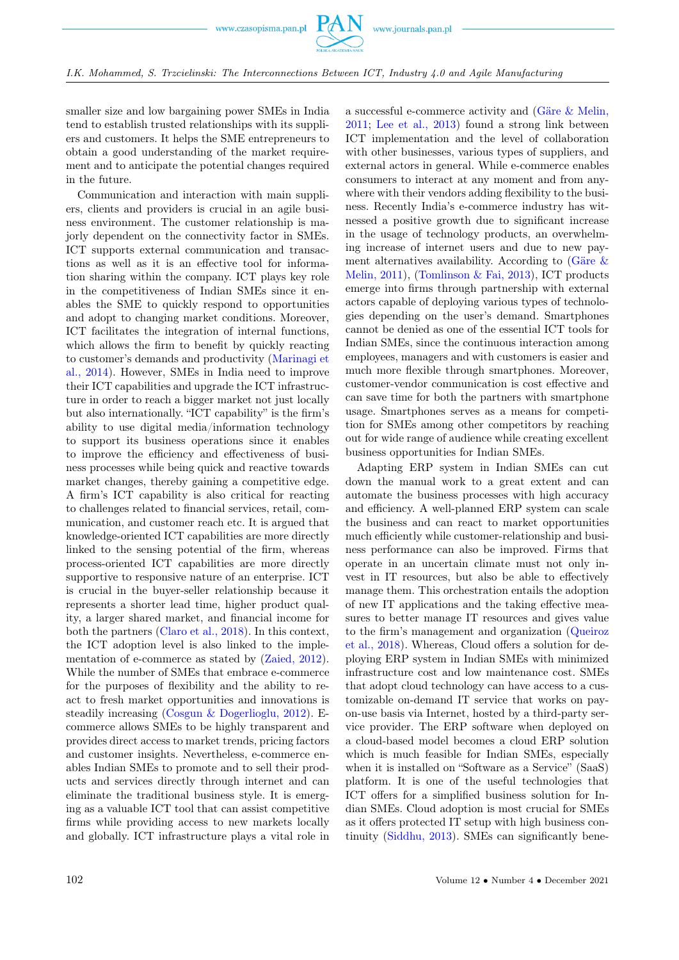

I.K. Mohammed, S. Trzcielinski: The Interconnections Between ICT, Industry 4.0 and Agile Manufacturing

smaller size and low bargaining power SMEs in India tend to establish trusted relationships with its suppliers and customers. It helps the SME entrepreneurs to obtain a good understanding of the market requirement and to anticipate the potential changes required in the future.

Communication and interaction with main suppliers, clients and providers is crucial in an agile business environment. The customer relationship is majorly dependent on the connectivity factor in SMEs. ICT supports external communication and transactions as well as it is an effective tool for information sharing within the company. ICT plays key role in the competitiveness of Indian SMEs since it enables the SME to quickly respond to opportunities and adopt to changing market conditions. Moreover, ICT facilitates the integration of internal functions, which allows the firm to benefit by quickly reacting to customer's demands and productivity [\(Marinagi et](#page-8-0) [al., 2014\)](#page-8-0). However, SMEs in India need to improve their ICT capabilities and upgrade the ICT infrastructure in order to reach a bigger market not just locally but also internationally. "ICT capability" is the firm's ability to use digital media/information technology to support its business operations since it enables to improve the efficiency and effectiveness of business processes while being quick and reactive towards market changes, thereby gaining a competitive edge. A firm's ICT capability is also critical for reacting to challenges related to financial services, retail, communication, and customer reach etc. It is argued that knowledge-oriented ICT capabilities are more directly linked to the sensing potential of the firm, whereas process-oriented ICT capabilities are more directly supportive to responsive nature of an enterprise. ICT is crucial in the buyer-seller relationship because it represents a shorter lead time, higher product quality, a larger shared market, and financial income for both the partners [\(Claro et al., 2018\)](#page-8-0). In this context, the ICT adoption level is also linked to the implementation of e-commerce as stated by [\(Zaied, 2012\)](#page-8-0). While the number of SMEs that embrace e-commerce for the purposes of flexibility and the ability to react to fresh market opportunities and innovations is steadily increasing [\(Cosgun & Dogerlioglu, 2012\)](#page-8-0). Ecommerce allows SMEs to be highly transparent and provides direct access to market trends, pricing factors and customer insights. Nevertheless, e-commerce enables Indian SMEs to promote and to sell their products and services directly through internet and can eliminate the traditional business style. It is emerging as a valuable ICT tool that can assist competitive firms while providing access to new markets locally and globally. ICT infrastructure plays a vital role in

a successful e-commerce activity and [\(Gäre & Melin,](#page-8-0) [2011;](#page-8-0) [Lee et al., 2013\)](#page-8-0) found a strong link between ICT implementation and the level of collaboration with other businesses, various types of suppliers, and external actors in general. While e-commerce enables consumers to interact at any moment and from anywhere with their vendors adding flexibility to the business. Recently India's e-commerce industry has witnessed a positive growth due to significant increase in the usage of technology products, an overwhelming increase of internet users and due to new payment alternatives availability. According to [\(Gäre &](#page-8-0) [Melin, 2011\)](#page-8-0), [\(Tomlinson & Fai, 2013\)](#page-8-0), ICT products emerge into firms through partnership with external actors capable of deploying various types of technologies depending on the user's demand. Smartphones cannot be denied as one of the essential ICT tools for Indian SMEs, since the continuous interaction among employees, managers and with customers is easier and much more flexible through smartphones. Moreover, customer-vendor communication is cost effective and can save time for both the partners with smartphone usage. Smartphones serves as a means for competition for SMEs among other competitors by reaching out for wide range of audience while creating excellent business opportunities for Indian SMEs.

Adapting ERP system in Indian SMEs can cut down the manual work to a great extent and can automate the business processes with high accuracy and efficiency. A well-planned ERP system can scale the business and can react to market opportunities much efficiently while customer-relationship and business performance can also be improved. Firms that operate in an uncertain climate must not only invest in IT resources, but also be able to effectively manage them. This orchestration entails the adoption of new IT applications and the taking effective measures to better manage IT resources and gives value to the firm's management and organization [\(Queiroz](#page-8-0) [et al., 2018\)](#page-8-0). Whereas, Cloud offers a solution for deploying ERP system in Indian SMEs with minimized infrastructure cost and low maintenance cost. SMEs that adopt cloud technology can have access to a customizable on-demand IT service that works on payon-use basis via Internet, hosted by a third-party service provider. The ERP software when deployed on a cloud-based model becomes a cloud ERP solution which is much feasible for Indian SMEs, especially when it is installed on "Software as a Service" (SaaS) platform. It is one of the useful technologies that ICT offers for a simplified business solution for Indian SMEs. Cloud adoption is most crucial for SMEs as it offers protected IT setup with high business continuity [\(Siddhu, 2013\)](#page-8-0). SMEs can significantly bene-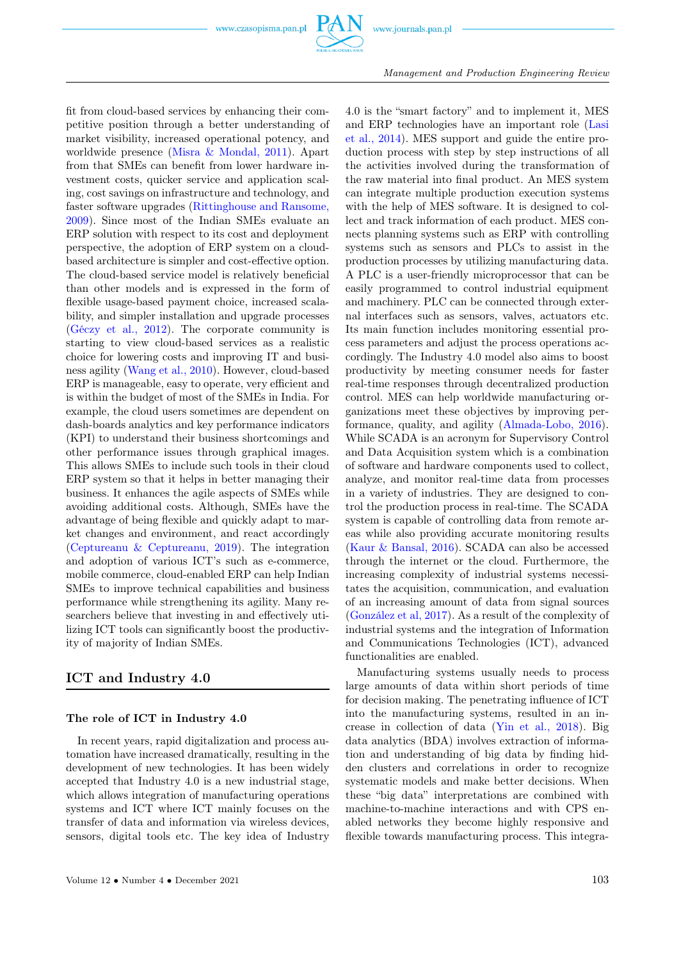

Management and Production Engineering Review

fit from cloud-based services by enhancing their competitive position through a better understanding of market visibility, increased operational potency, and worldwide presence [\(Misra & Mondal, 2011\)](#page-8-0). Apart from that SMEs can benefit from lower hardware investment costs, quicker service and application scaling, cost savings on infrastructure and technology, and faster software upgrades [\(Rittinghouse and Ransome,](#page-8-0) [2009\)](#page-8-0). Since most of the Indian SMEs evaluate an ERP solution with respect to its cost and deployment perspective, the adoption of ERP system on a cloudbased architecture is simpler and cost-effective option. The cloud-based service model is relatively beneficial than other models and is expressed in the form of flexible usage-based payment choice, increased scalability, and simpler installation and upgrade processes [\(Géczy et al., 2012\)](#page-8-0). The corporate community is starting to view cloud-based services as a realistic choice for lowering costs and improving IT and business agility [\(Wang et al., 2010\)](#page-8-0). However, cloud-based ERP is manageable, easy to operate, very efficient and is within the budget of most of the SMEs in India. For example, the cloud users sometimes are dependent on dash-boards analytics and key performance indicators (KPI) to understand their business shortcomings and other performance issues through graphical images. This allows SMEs to include such tools in their cloud ERP system so that it helps in better managing their business. It enhances the agile aspects of SMEs while avoiding additional costs. Although, SMEs have the advantage of being flexible and quickly adapt to market changes and environment, and react accordingly [\(Ceptureanu & Ceptureanu, 2019\)](#page-8-0). The integration and adoption of various ICT's such as e-commerce, mobile commerce, cloud-enabled ERP can help Indian SMEs to improve technical capabilities and business performance while strengthening its agility. Many researchers believe that investing in and effectively utilizing ICT tools can significantly boost the productivity of majority of Indian SMEs.

# ICT and Industry 4.0

## The role of ICT in Industry 4.0

In recent years, rapid digitalization and process automation have increased dramatically, resulting in the development of new technologies. It has been widely accepted that Industry 4.0 is a new industrial stage, which allows integration of manufacturing operations systems and ICT where ICT mainly focuses on the transfer of data and information via wireless devices, sensors, digital tools etc. The key idea of Industry

4.0 is the "smart factory" and to implement it, MES and ERP technologies have an important role [\(Lasi](#page-8-0) [et al., 2014\)](#page-8-0). MES support and guide the entire production process with step by step instructions of all the activities involved during the transformation of the raw material into final product. An MES system can integrate multiple production execution systems with the help of MES software. It is designed to collect and track information of each product. MES connects planning systems such as ERP with controlling systems such as sensors and PLCs to assist in the production processes by utilizing manufacturing data. A PLC is a user-friendly microprocessor that can be easily programmed to control industrial equipment and machinery. PLC can be connected through external interfaces such as sensors, valves, actuators etc. Its main function includes monitoring essential process parameters and adjust the process operations accordingly. The Industry 4.0 model also aims to boost productivity by meeting consumer needs for faster real-time responses through decentralized production control. MES can help worldwide manufacturing organizations meet these objectives by improving performance, quality, and agility [\(Almada-Lobo, 2016\)](#page-8-0). While SCADA is an acronym for Supervisory Control and Data Acquisition system which is a combination of software and hardware components used to collect, analyze, and monitor real-time data from processes in a variety of industries. They are designed to control the production process in real-time. The SCADA system is capable of controlling data from remote areas while also providing accurate monitoring results [\(Kaur & Bansal, 2016\)](#page-8-0). SCADA can also be accessed through the internet or the cloud. Furthermore, the increasing complexity of industrial systems necessitates the acquisition, communication, and evaluation of an increasing amount of data from signal sources [\(González et al, 2017\)](#page-8-0). As a result of the complexity of industrial systems and the integration of Information and Communications Technologies (ICT), advanced functionalities are enabled.

Manufacturing systems usually needs to process large amounts of data within short periods of time for decision making. The penetrating influence of ICT into the manufacturing systems, resulted in an increase in collection of data [\(Yin et al., 2018\)](#page-8-0). Big data analytics (BDA) involves extraction of information and understanding of big data by finding hidden clusters and correlations in order to recognize systematic models and make better decisions. When these "big data" interpretations are combined with machine-to-machine interactions and with CPS enabled networks they become highly responsive and flexible towards manufacturing process. This integra-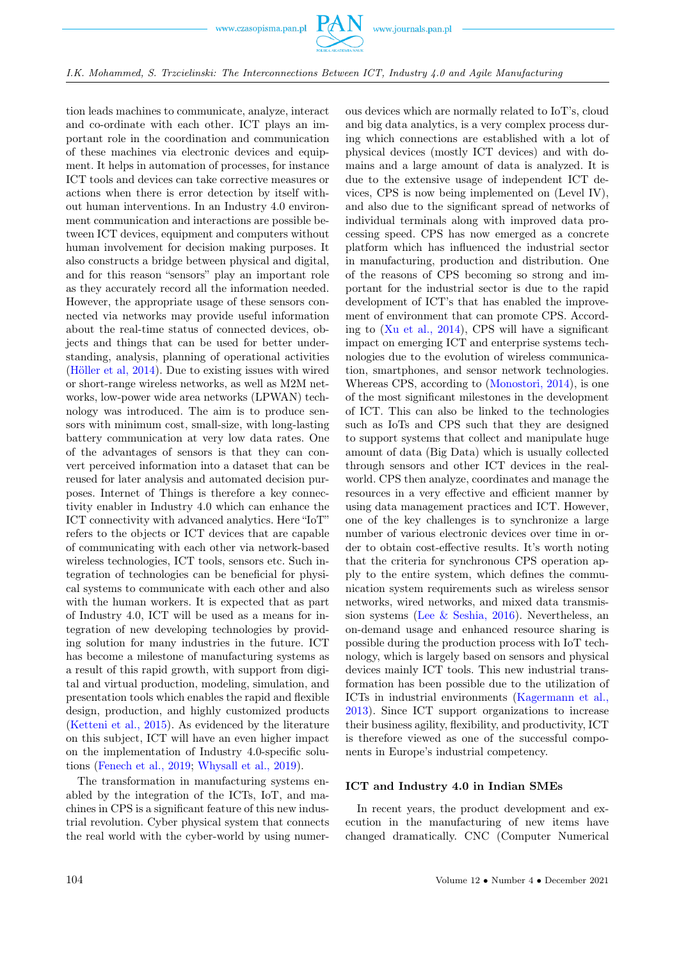

I.K. Mohammed, S. Trzcielinski: The Interconnections Between ICT, Industry 4.0 and Agile Manufacturing

tion leads machines to communicate, analyze, interact and co-ordinate with each other. ICT plays an important role in the coordination and communication of these machines via electronic devices and equipment. It helps in automation of processes, for instance ICT tools and devices can take corrective measures or actions when there is error detection by itself without human interventions. In an Industry 4.0 environment communication and interactions are possible between ICT devices, equipment and computers without human involvement for decision making purposes. It also constructs a bridge between physical and digital, and for this reason "sensors" play an important role as they accurately record all the information needed. However, the appropriate usage of these sensors connected via networks may provide useful information about the real-time status of connected devices, objects and things that can be used for better understanding, analysis, planning of operational activities [\(Höller et al, 2014\)](#page-8-0). Due to existing issues with wired or short-range wireless networks, as well as M2M networks, low-power wide area networks (LPWAN) technology was introduced. The aim is to produce sensors with minimum cost, small-size, with long-lasting battery communication at very low data rates. One of the advantages of sensors is that they can convert perceived information into a dataset that can be reused for later analysis and automated decision purposes. Internet of Things is therefore a key connectivity enabler in Industry 4.0 which can enhance the ICT connectivity with advanced analytics. Here "IoT" refers to the objects or ICT devices that are capable of communicating with each other via network-based wireless technologies, ICT tools, sensors etc. Such integration of technologies can be beneficial for physical systems to communicate with each other and also with the human workers. It is expected that as part of Industry 4.0, ICT will be used as a means for integration of new developing technologies by providing solution for many industries in the future. ICT has become a milestone of manufacturing systems as a result of this rapid growth, with support from digital and virtual production, modeling, simulation, and presentation tools which enables the rapid and flexible design, production, and highly customized products [\(Ketteni et al., 2015\)](#page-8-0). As evidenced by the literature on this subject, ICT will have an even higher impact on the implementation of Industry 4.0-specific solutions [\(Fenech et al., 2019;](#page-8-0) [Whysall et al., 2019\)](#page-8-0).

The transformation in manufacturing systems enabled by the integration of the ICTs, IoT, and machines in CPS is a significant feature of this new industrial revolution. Cyber physical system that connects the real world with the cyber-world by using numerous devices which are normally related to IoT's, cloud and big data analytics, is a very complex process during which connections are established with a lot of physical devices (mostly ICT devices) and with domains and a large amount of data is analyzed. It is due to the extensive usage of independent ICT devices, CPS is now being implemented on (Level IV), and also due to the significant spread of networks of individual terminals along with improved data processing speed. CPS has now emerged as a concrete platform which has influenced the industrial sector in manufacturing, production and distribution. One of the reasons of CPS becoming so strong and important for the industrial sector is due to the rapid development of ICT's that has enabled the improvement of environment that can promote CPS. According to [\(Xu et al., 2014\)](#page-8-0), CPS will have a significant impact on emerging ICT and enterprise systems technologies due to the evolution of wireless communication, smartphones, and sensor network technologies. Whereas CPS, according to [\(Monostori, 2014\)](#page-8-0), is one of the most significant milestones in the development of ICT. This can also be linked to the technologies such as IoTs and CPS such that they are designed to support systems that collect and manipulate huge amount of data (Big Data) which is usually collected through sensors and other ICT devices in the realworld. CPS then analyze, coordinates and manage the resources in a very effective and efficient manner by using data management practices and ICT. However, one of the key challenges is to synchronize a large number of various electronic devices over time in order to obtain cost-effective results. It's worth noting that the criteria for synchronous CPS operation apply to the entire system, which defines the communication system requirements such as wireless sensor networks, wired networks, and mixed data transmission systems [\(Lee & Seshia, 2016\)](#page-8-0). Nevertheless, an on-demand usage and enhanced resource sharing is possible during the production process with IoT technology, which is largely based on sensors and physical devices mainly ICT tools. This new industrial transformation has been possible due to the utilization of ICTs in industrial environments [\(Kagermann et al.,](#page-8-0) [2013\)](#page-8-0). Since ICT support organizations to increase their business agility, flexibility, and productivity, ICT is therefore viewed as one of the successful components in Europe's industrial competency.

### ICT and Industry 4.0 in Indian SMEs

In recent years, the product development and execution in the manufacturing of new items have changed dramatically. CNC (Computer Numerical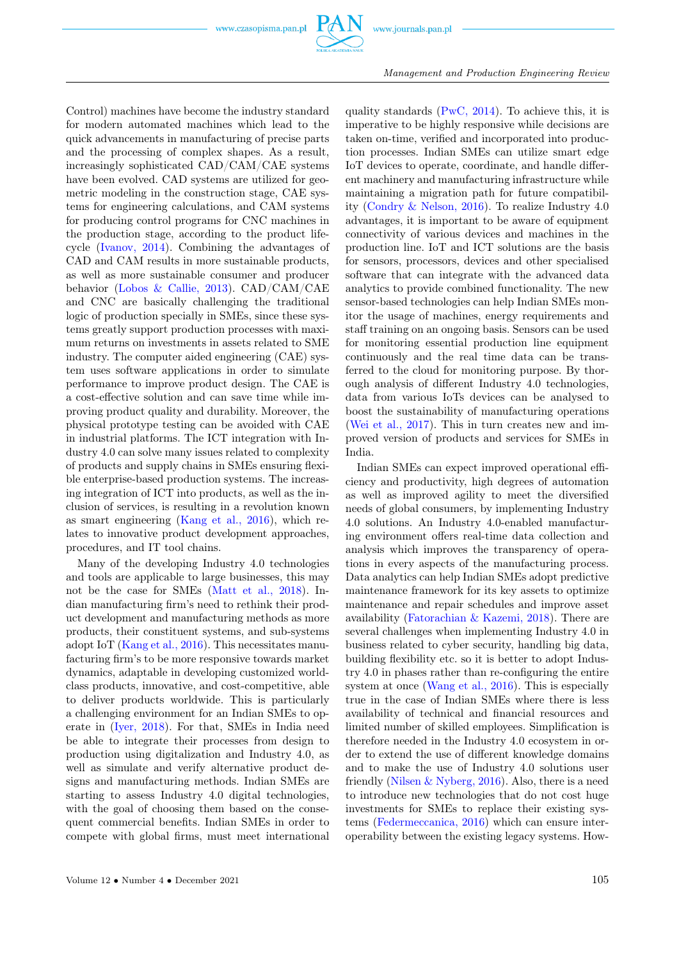

Management and Production Engineering Review

Control) machines have become the industry standard for modern automated machines which lead to the quick advancements in manufacturing of precise parts and the processing of complex shapes. As a result, increasingly sophisticated CAD/CAM/CAE systems have been evolved. CAD systems are utilized for geometric modeling in the construction stage, CAE systems for engineering calculations, and CAM systems for producing control programs for CNC machines in the production stage, according to the product lifecycle [\(Ivanov, 2014\)](#page-8-0). Combining the advantages of CAD and CAM results in more sustainable products, as well as more sustainable consumer and producer behavior [\(Lobos & Callie, 2013\)](#page-8-0). CAD/CAM/CAE and CNC are basically challenging the traditional logic of production specially in SMEs, since these systems greatly support production processes with maximum returns on investments in assets related to SME industry. The computer aided engineering (CAE) system uses software applications in order to simulate performance to improve product design. The CAE is a cost-effective solution and can save time while improving product quality and durability. Moreover, the physical prototype testing can be avoided with CAE in industrial platforms. The ICT integration with Industry 4.0 can solve many issues related to complexity of products and supply chains in SMEs ensuring flexible enterprise-based production systems. The increasing integration of ICT into products, as well as the inclusion of services, is resulting in a revolution known as smart engineering [\(Kang et al., 2016\)](#page-8-0), which relates to innovative product development approaches, procedures, and IT tool chains.

Many of the developing Industry 4.0 technologies and tools are applicable to large businesses, this may not be the case for SMEs [\(Matt et al., 2018\)](#page-8-0). Indian manufacturing firm's need to rethink their product development and manufacturing methods as more products, their constituent systems, and sub-systems adopt IoT [\(Kang et al., 2016\)](#page-8-0). This necessitates manufacturing firm's to be more responsive towards market dynamics, adaptable in developing customized worldclass products, innovative, and cost-competitive, able to deliver products worldwide. This is particularly a challenging environment for an Indian SMEs to operate in [\(Iyer, 2018\)](#page-8-0). For that, SMEs in India need be able to integrate their processes from design to production using digitalization and Industry 4.0, as well as simulate and verify alternative product designs and manufacturing methods. Indian SMEs are starting to assess Industry 4.0 digital technologies, with the goal of choosing them based on the consequent commercial benefits. Indian SMEs in order to compete with global firms, must meet international quality standards  $(PwC, 2014)$ . To achieve this, it is imperative to be highly responsive while decisions are taken on-time, verified and incorporated into production processes. Indian SMEs can utilize smart edge IoT devices to operate, coordinate, and handle different machinery and manufacturing infrastructure while maintaining a migration path for future compatibility [\(Condry & Nelson, 2016\)](#page-8-0). To realize Industry 4.0 advantages, it is important to be aware of equipment connectivity of various devices and machines in the production line. IoT and ICT solutions are the basis for sensors, processors, devices and other specialised software that can integrate with the advanced data analytics to provide combined functionality. The new sensor-based technologies can help Indian SMEs monitor the usage of machines, energy requirements and staff training on an ongoing basis. Sensors can be used for monitoring essential production line equipment continuously and the real time data can be transferred to the cloud for monitoring purpose. By thorough analysis of different Industry 4.0 technologies, data from various IoTs devices can be analysed to boost the sustainability of manufacturing operations [\(Wei et al., 2017\)](#page-8-0). This in turn creates new and improved version of products and services for SMEs in India.

Indian SMEs can expect improved operational efficiency and productivity, high degrees of automation as well as improved agility to meet the diversified needs of global consumers, by implementing Industry 4.0 solutions. An Industry 4.0-enabled manufacturing environment offers real-time data collection and analysis which improves the transparency of operations in every aspects of the manufacturing process. Data analytics can help Indian SMEs adopt predictive maintenance framework for its key assets to optimize maintenance and repair schedules and improve asset availability [\(Fatorachian & Kazemi, 2018\)](#page-8-0). There are several challenges when implementing Industry 4.0 in business related to cyber security, handling big data, building flexibility etc. so it is better to adopt Industry 4.0 in phases rather than re-configuring the entire system at once [\(Wang et al., 2016\)](#page-8-0). This is especially true in the case of Indian SMEs where there is less availability of technical and financial resources and limited number of skilled employees. Simplification is therefore needed in the Industry 4.0 ecosystem in order to extend the use of different knowledge domains and to make the use of Industry 4.0 solutions user friendly (Nilsen  $&$  Nyberg, 2016). Also, there is a need to introduce new technologies that do not cost huge investments for SMEs to replace their existing systems [\(Federmeccanica, 2016\)](#page-8-0) which can ensure interoperability between the existing legacy systems. How-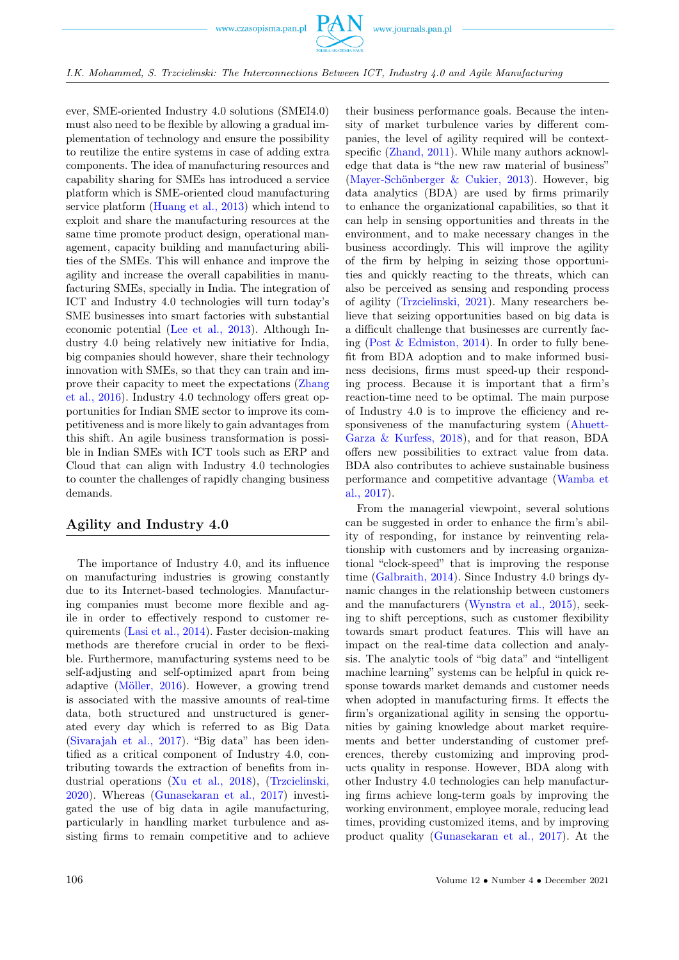

ever, SME-oriented Industry 4.0 solutions (SMEI4.0) must also need to be flexible by allowing a gradual implementation of technology and ensure the possibility to reutilize the entire systems in case of adding extra components. The idea of manufacturing resources and capability sharing for SMEs has introduced a service platform which is SME-oriented cloud manufacturing service platform [\(Huang et al., 2013\)](#page-8-0) which intend to exploit and share the manufacturing resources at the same time promote product design, operational management, capacity building and manufacturing abilities of the SMEs. This will enhance and improve the agility and increase the overall capabilities in manufacturing SMEs, specially in India. The integration of ICT and Industry 4.0 technologies will turn today's SME businesses into smart factories with substantial economic potential [\(Lee et al., 2013\)](#page-8-0). Although Industry 4.0 being relatively new initiative for India, big companies should however, share their technology innovation with SMEs, so that they can train and improve their capacity to meet the expectations [\(Zhang](#page-8-0) [et al., 2016\)](#page-8-0). Industry 4.0 technology offers great opportunities for Indian SME sector to improve its competitiveness and is more likely to gain advantages from this shift. An agile business transformation is possible in Indian SMEs with ICT tools such as ERP and Cloud that can align with Industry 4.0 technologies to counter the challenges of rapidly changing business demands.

# Agility and Industry 4.0

The importance of Industry 4.0, and its influence on manufacturing industries is growing constantly due to its Internet-based technologies. Manufacturing companies must become more flexible and agile in order to effectively respond to customer requirements [\(Lasi et al., 2014\)](#page-8-0). Faster decision-making methods are therefore crucial in order to be flexible. Furthermore, manufacturing systems need to be self-adjusting and self-optimized apart from being adaptive [\(Möller, 2016\)](#page-8-0). However, a growing trend is associated with the massive amounts of real-time data, both structured and unstructured is generated every day which is referred to as Big Data [\(Sivarajah et al., 2017\)](#page-8-0). "Big data" has been identified as a critical component of Industry 4.0, contributing towards the extraction of benefits from industrial operations [\(Xu et al., 2018\)](#page-8-0), [\(Trzcielinski,](#page-8-0) [2020\)](#page-8-0). Whereas [\(Gunasekaran et al., 2017\)](#page-8-0) investigated the use of big data in agile manufacturing, particularly in handling market turbulence and assisting firms to remain competitive and to achieve

their business performance goals. Because the intensity of market turbulence varies by different companies, the level of agility required will be context-specific [\(Zhand, 2011\)](#page-8-0). While many authors acknowledge that data is "the new raw material of business" [\(Mayer-Schönberger & Cukier, 2013\)](#page-8-0). However, big data analytics (BDA) are used by firms primarily to enhance the organizational capabilities, so that it can help in sensing opportunities and threats in the environment, and to make necessary changes in the business accordingly. This will improve the agility of the firm by helping in seizing those opportunities and quickly reacting to the threats, which can also be perceived as sensing and responding process of agility [\(Trzcielinski, 2021\)](#page-8-0). Many researchers believe that seizing opportunities based on big data is a difficult challenge that businesses are currently facing [\(Post & Edmiston, 2014\)](#page-8-0). In order to fully benefit from BDA adoption and to make informed business decisions, firms must speed-up their responding process. Because it is important that a firm's reaction-time need to be optimal. The main purpose of Industry 4.0 is to improve the efficiency and responsiveness of the manufacturing system [\(Ahuett-](#page-8-0)[Garza & Kurfess, 2018\)](#page-8-0), and for that reason, BDA offers new possibilities to extract value from data. BDA also contributes to achieve sustainable business performance and competitive advantage [\(Wamba et](#page-8-0) [al., 2017\)](#page-8-0).

From the managerial viewpoint, several solutions can be suggested in order to enhance the firm's ability of responding, for instance by reinventing relationship with customers and by increasing organizational "clock-speed" that is improving the response time [\(Galbraith, 2014\)](#page-8-0). Since Industry 4.0 brings dynamic changes in the relationship between customers and the manufacturers [\(Wynstra et al., 2015\)](#page-8-0), seeking to shift perceptions, such as customer flexibility towards smart product features. This will have an impact on the real-time data collection and analysis. The analytic tools of "big data" and "intelligent machine learning" systems can be helpful in quick response towards market demands and customer needs when adopted in manufacturing firms. It effects the firm's organizational agility in sensing the opportunities by gaining knowledge about market requirements and better understanding of customer preferences, thereby customizing and improving products quality in response. However, BDA along with other Industry 4.0 technologies can help manufacturing firms achieve long-term goals by improving the working environment, employee morale, reducing lead times, providing customized items, and by improving product quality [\(Gunasekaran et al., 2017\)](#page-8-0). At the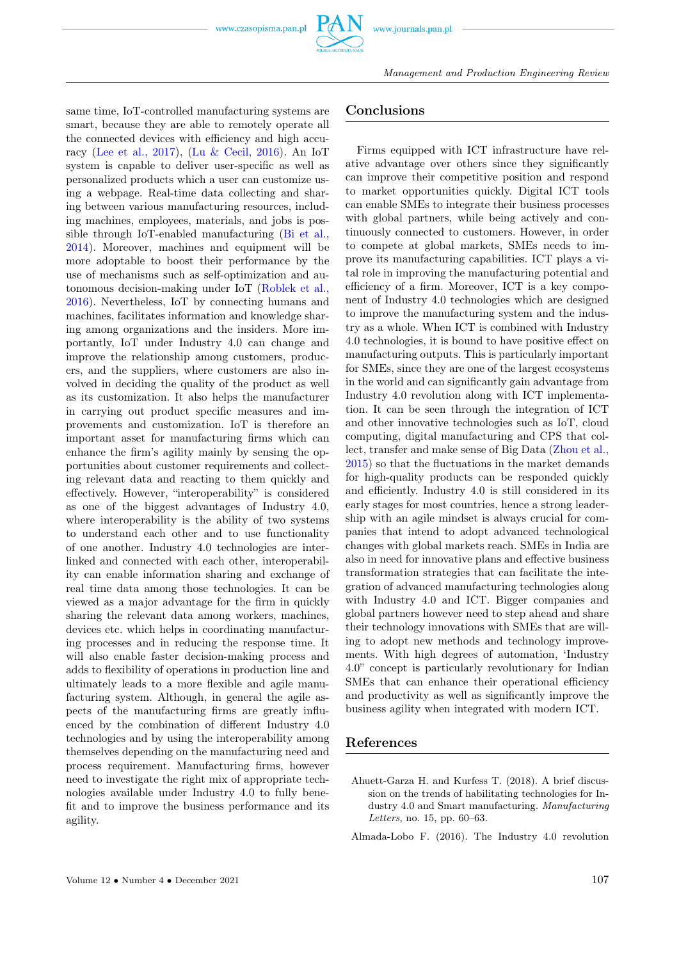same time, IoT-controlled manufacturing systems are smart, because they are able to remotely operate all the connected devices with efficiency and high accuracy [\(Lee et al., 2017\)](#page-8-0), [\(Lu & Cecil, 2016\)](#page-8-0). An IoT system is capable to deliver user-specific as well as personalized products which a user can customize using a webpage. Real-time data collecting and sharing between various manufacturing resources, including machines, employees, materials, and jobs is possible through IoT-enabled manufacturing [\(Bi et al.,](#page-8-0) [2014\)](#page-8-0). Moreover, machines and equipment will be more adoptable to boost their performance by the use of mechanisms such as self-optimization and autonomous decision-making under IoT [\(Roblek et al.,](#page-8-0) [2016\)](#page-8-0). Nevertheless, IoT by connecting humans and machines, facilitates information and knowledge sharing among organizations and the insiders. More importantly, IoT under Industry 4.0 can change and improve the relationship among customers, producers, and the suppliers, where customers are also involved in deciding the quality of the product as well as its customization. It also helps the manufacturer in carrying out product specific measures and improvements and customization. IoT is therefore an important asset for manufacturing firms which can enhance the firm's agility mainly by sensing the opportunities about customer requirements and collecting relevant data and reacting to them quickly and effectively. However, "interoperability" is considered as one of the biggest advantages of Industry 4.0, where interoperability is the ability of two systems to understand each other and to use functionality of one another. Industry 4.0 technologies are interlinked and connected with each other, interoperability can enable information sharing and exchange of real time data among those technologies. It can be viewed as a major advantage for the firm in quickly sharing the relevant data among workers, machines, devices etc. which helps in coordinating manufacturing processes and in reducing the response time. It will also enable faster decision-making process and adds to flexibility of operations in production line and ultimately leads to a more flexible and agile manufacturing system. Although, in general the agile aspects of the manufacturing firms are greatly influenced by the combination of different Industry 4.0 technologies and by using the interoperability among themselves depending on the manufacturing need and process requirement. Manufacturing firms, however need to investigate the right mix of appropriate technologies available under Industry 4.0 to fully benefit and to improve the business performance and its agility.

## Conclusions

Firms equipped with ICT infrastructure have relative advantage over others since they significantly can improve their competitive position and respond to market opportunities quickly. Digital ICT tools can enable SMEs to integrate their business processes with global partners, while being actively and continuously connected to customers. However, in order to compete at global markets, SMEs needs to improve its manufacturing capabilities. ICT plays a vital role in improving the manufacturing potential and efficiency of a firm. Moreover, ICT is a key component of Industry 4.0 technologies which are designed to improve the manufacturing system and the industry as a whole. When ICT is combined with Industry 4.0 technologies, it is bound to have positive effect on manufacturing outputs. This is particularly important for SMEs, since they are one of the largest ecosystems in the world and can significantly gain advantage from Industry 4.0 revolution along with ICT implementation. It can be seen through the integration of ICT and other innovative technologies such as IoT, cloud computing, digital manufacturing and CPS that collect, transfer and make sense of Big Data [\(Zhou et al.,](#page-8-0) [2015\)](#page-8-0) so that the fluctuations in the market demands for high-quality products can be responded quickly and efficiently. Industry 4.0 is still considered in its early stages for most countries, hence a strong leadership with an agile mindset is always crucial for companies that intend to adopt advanced technological changes with global markets reach. SMEs in India are also in need for innovative plans and effective business transformation strategies that can facilitate the integration of advanced manufacturing technologies along with Industry 4.0 and ICT. Bigger companies and global partners however need to step ahead and share their technology innovations with SMEs that are willing to adopt new methods and technology improvements. With high degrees of automation, 'Industry 4.0" concept is particularly revolutionary for Indian SMEs that can enhance their operational efficiency and productivity as well as significantly improve the business agility when integrated with modern ICT.

## <span id="page-8-0"></span>References

- Ahuett-Garza H. and Kurfess T. (2018). A brief discussion on the trends of habilitating technologies for Industry 4.0 and Smart manufacturing. Manufacturing Letters, no. 15, pp. 60–63.
- Almada-Lobo F. (2016). The Industry 4.0 revolution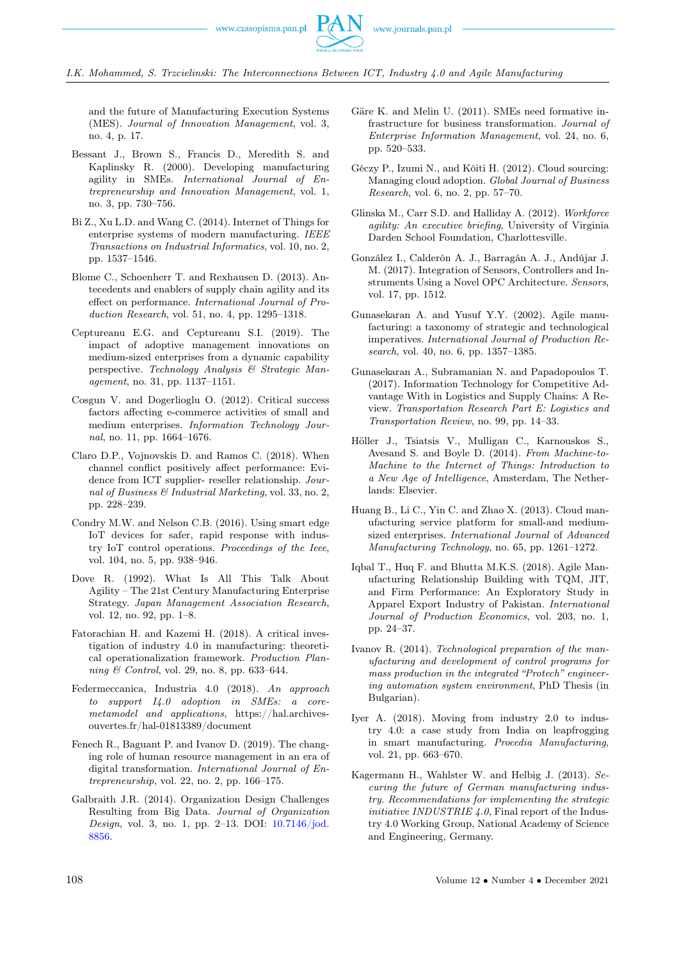

I.K. Mohammed, S. Trzcielinski: The Interconnections Between ICT, Industry 4.0 and Agile Manufacturing

and the future of Manufacturing Execution Systems (MES). Journal of Innovation Management, vol. 3, no. 4, p. 17.

- Bessant J., Brown S., Francis D., Meredith S. and Kaplinsky R. (2000). Developing manufacturing agility in SMEs. International Journal of Entrepreneurship and Innovation Management, vol. 1, no. 3, pp. 730–756.
- Bi Z., Xu L.D. and Wang C. (2014). Internet of Things for enterprise systems of modern manufacturing. IEEE Transactions on Industrial Informatics, vol. 10, no. 2, pp. 1537–1546.
- Blome C., Schoenherr T. and Rexhausen D. (2013). Antecedents and enablers of supply chain agility and its effect on performance. International Journal of Production Research, vol. 51, no. 4, pp. 1295–1318.
- Ceptureanu E.G. and Ceptureanu S.I. (2019). The impact of adoptive management innovations on medium-sized enterprises from a dynamic capability perspective. Technology Analysis & Strategic Management, no. 31, pp. 1137–1151.
- Cosgun V. and Dogerlioglu O. (2012). Critical success factors affecting e-commerce activities of small and medium enterprises. Information Technology Journal, no. 11, pp. 1664–1676.
- Claro D.P., Vojnovskis D. and Ramos C. (2018). When channel conflict positively affect performance: Evidence from ICT supplier- reseller relationship. Journal of Business & Industrial Marketing, vol. 33, no. 2, pp. 228–239.
- Condry M.W. and Nelson C.B. (2016). Using smart edge IoT devices for safer, rapid response with industry IoT control operations. Proceedings of the Ieee, vol. 104, no. 5, pp. 938–946.
- Dove R. (1992). What Is All This Talk About Agility – The 21st Century Manufacturing Enterprise Strategy. Japan Management Association Research, vol. 12, no. 92, pp. 1–8.
- Fatorachian H. and Kazemi H. (2018). A critical investigation of industry 4.0 in manufacturing: theoretical operationalization framework. Production Planning & Control, vol. 29, no. 8, pp. 633–644.
- Federmeccanica, Industria 4.0 (2018). An approach to support I4.0 adoption in SMEs: a coremetamodel and applications, https://hal.archivesouvertes.fr/hal-01813389/document
- Fenech R., Baguant P. and Ivanov D. (2019). The changing role of human resource management in an era of digital transformation. International Journal of Entrepreneurship, vol. 22, no. 2, pp. 166–175.
- Galbraith J.R. (2014). Organization Design Challenges Resulting from Big Data. Journal of Organization Design, vol. 3, no. 1, pp. 2–13. DOI: [10.7146/jod.](https://doi.org/10.7146/jod. 8856) [8856.](https://doi.org/10.7146/jod. 8856)
- Gäre K. and Melin U. (2011). SMEs need formative infrastructure for business transformation. Journal of Enterprise Information Management, vol. 24, no. 6, pp. 520–533.
- Géczy P., Izumi N., and Kôiti H. (2012). Cloud sourcing: Managing cloud adoption. Global Journal of Business Research, vol. 6, no. 2, pp. 57–70.
- Glinska M., Carr S.D. and Halliday A. (2012). Workforce agility: An executive briefing, University of Virginia Darden School Foundation, Charlottesville.
- González I., Calderón A. J., Barragán A. J., Andújar J. M. (2017). Integration of Sensors, Controllers and Instruments Using a Novel OPC Architecture. Sensors, vol. 17, pp. 1512.
- Gunasekaran A. and Yusuf Y.Y. (2002). Agile manufacturing: a taxonomy of strategic and technological imperatives. International Journal of Production Research, vol. 40, no. 6, pp. 1357–1385.
- Gunasekaran A., Subramanian N. and Papadopoulos T. (2017). Information Technology for Competitive Advantage With in Logistics and Supply Chains: A Review. Transportation Research Part E: Logistics and Transportation Review, no. 99, pp. 14–33.
- Höller J., Tsiatsis V., Mulligan C., Karnouskos S., Avesand S. and Boyle D. (2014). From Machine-to-Machine to the Internet of Things: Introduction to a New Age of Intelligence, Amsterdam, The Netherlands: Elsevier.
- Huang B., Li C., Yin C. and Zhao X. (2013). Cloud manufacturing service platform for small-and mediumsized enterprises. International Journal of Advanced Manufacturing Technology, no. 65, pp. 1261–1272.
- Iqbal T., Huq F. and Bhutta M.K.S. (2018). Agile Manufacturing Relationship Building with TQM, JIT, and Firm Performance: An Exploratory Study in Apparel Export Industry of Pakistan. International Journal of Production Economics, vol. 203, no. 1, pp. 24–37.
- Ivanov R. (2014). Technological preparation of the manufacturing and development of control programs for mass production in the integrated "Protech" engineering automation system environment, PhD Thesis (in Bulgarian).
- Iyer A. (2018). Moving from industry 2.0 to industry 4.0: a case study from India on leapfrogging in smart manufacturing. Procedia Manufacturing, vol. 21, pp. 663–670.
- Kagermann H., Wahlster W. and Helbig J. (2013). Securing the future of German manufacturing industry. Recommendations for implementing the strategic *initiative INDUSTRIE 4.0*, Final report of the Industry 4.0 Working Group, National Academy of Science and Engineering, Germany.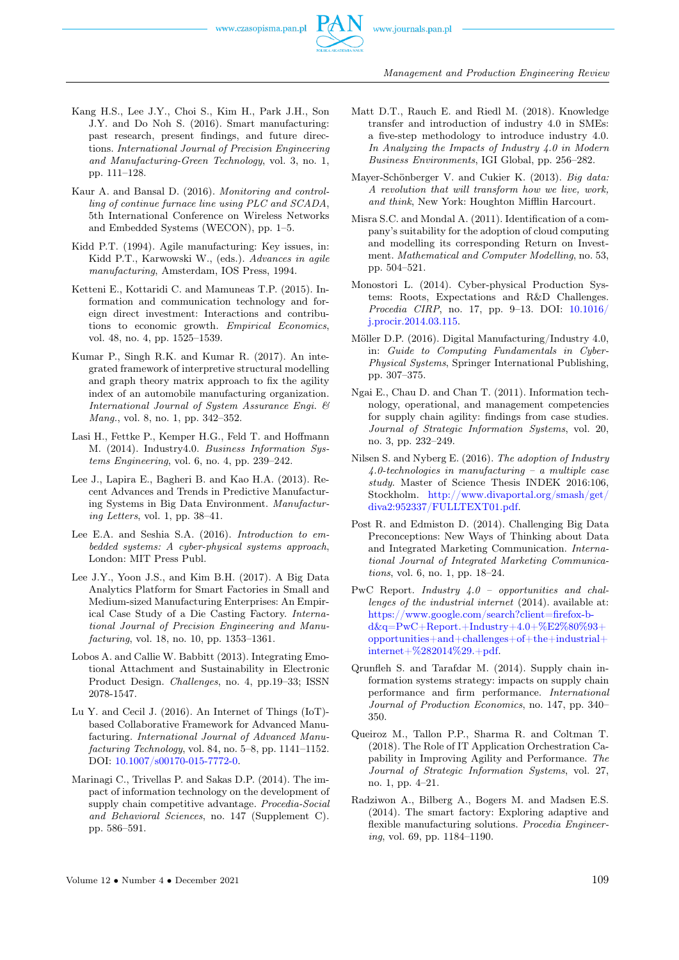

Management and Production Engineering Review

- Kang H.S., Lee J.Y., Choi S., Kim H., Park J.H., Son J.Y. and Do Noh S. (2016). Smart manufacturing: past research, present findings, and future directions. International Journal of Precision Engineering and Manufacturing-Green Technology, vol. 3, no. 1, pp. 111–128.
- Kaur A. and Bansal D. (2016). Monitoring and controlling of continue furnace line using PLC and SCADA, 5th International Conference on Wireless Networks and Embedded Systems (WECON), pp. 1–5.
- Kidd P.T. (1994). Agile manufacturing: Key issues, in: Kidd P.T., Karwowski W., (eds.). Advances in agile manufacturing, Amsterdam, IOS Press, 1994.
- Ketteni E., Kottaridi C. and Mamuneas T.P. (2015). Information and communication technology and foreign direct investment: Interactions and contributions to economic growth. Empirical Economics, vol. 48, no. 4, pp. 1525–1539.
- Kumar P., Singh R.K. and Kumar R. (2017). An integrated framework of interpretive structural modelling and graph theory matrix approach to fix the agility index of an automobile manufacturing organization. International Journal of System Assurance Engi. & Mang., vol. 8, no. 1, pp. 342–352.
- Lasi H., Fettke P., Kemper H.G., Feld T. and Hoffmann M. (2014). Industry4.0. Business Information Systems Engineering, vol. 6, no. 4, pp. 239–242.
- Lee J., Lapira E., Bagheri B. and Kao H.A. (2013). Recent Advances and Trends in Predictive Manufacturing Systems in Big Data Environment. Manufacturing Letters, vol. 1, pp. 38–41.
- Lee E.A. and Seshia S.A. (2016). Introduction to embedded systems: A cyber-physical systems approach, London: MIT Press Publ.
- Lee J.Y., Yoon J.S., and Kim B.H. (2017). A Big Data Analytics Platform for Smart Factories in Small and Medium-sized Manufacturing Enterprises: An Empirical Case Study of a Die Casting Factory. International Journal of Precision Engineering and Manufacturing, vol. 18, no. 10, pp. 1353–1361.
- Lobos A. and Callie W. Babbitt (2013). Integrating Emotional Attachment and Sustainability in Electronic Product Design. Challenges, no. 4, pp.19–33; ISSN 2078-1547.
- Lu Y. and Cecil J. (2016). An Internet of Things (IoT) based Collaborative Framework for Advanced Manufacturing. International Journal of Advanced Manufacturing Technology, vol. 84, no. 5–8, pp. 1141–1152. DOI: [10.1007/s00170-015-7772-0.](https://doi.org/10.1007/s00170-015-7772-0)
- Marinagi C., Trivellas P. and Sakas D.P. (2014). The impact of information technology on the development of supply chain competitive advantage. Procedia-Social and Behavioral Sciences, no. 147 (Supplement C). pp. 586–591.
- Matt D.T., Rauch E. and Riedl M. (2018). Knowledge transfer and introduction of industry 4.0 in SMEs: a five-step methodology to introduce industry 4.0. In Analyzing the Impacts of Industry 4.0 in Modern Business Environments, IGI Global, pp. 256–282.
- Mayer-Schönberger V. and Cukier K. (2013). Big data: A revolution that will transform how we live, work, and think, New York: Houghton Mifflin Harcourt.
- Misra S.C. and Mondal A. (2011). Identification of a company's suitability for the adoption of cloud computing and modelling its corresponding Return on Investment. Mathematical and Computer Modelling, no. 53, pp. 504–521.
- Monostori L. (2014). Cyber-physical Production Systems: Roots, Expectations and R&D Challenges. Procedia CIRP, no. 17, pp. 9–13. DOI: [10.1016/](https://doi.org/10.1016/j.procir.2014.03.115) [j.procir.2014.03.115.](https://doi.org/10.1016/j.procir.2014.03.115)
- Möller D.P. (2016). Digital Manufacturing/Industry 4.0, in: Guide to Computing Fundamentals in Cyber-Physical Systems, Springer International Publishing, pp. 307–375.
- Ngai E., Chau D. and Chan T. (2011). Information technology, operational, and management competencies for supply chain agility: findings from case studies. Journal of Strategic Information Systems, vol. 20, no. 3, pp. 232–249.
- Nilsen S. and Nyberg E. (2016). The adoption of Industry 4.0-technologies in manufacturing – a multiple case study. Master of Science Thesis INDEK 2016:106, Stockholm. [http://www.divaportal.org/smash/get/](http://www.divaportal.org/smash/get/diva2:952337/FULLTEXT01.pdf) [diva2:952337/FULLTEXT01.pdf.](http://www.divaportal.org/smash/get/diva2:952337/FULLTEXT01.pdf)
- Post R. and Edmiston D. (2014). Challenging Big Data Preconceptions: New Ways of Thinking about Data and Integrated Marketing Communication. International Journal of Integrated Marketing Communications, vol. 6, no. 1, pp. 18–24.
- PwC Report. Industry 4.0 opportunities and challenges of the industrial internet (2014). available at: [https://www.google.com/search?client=firefox-b](https://www.google.com/search?client=firefox-b-d&q=PwC+Report.+Industry+4.0+%E2%80%93+opportunities+and+challenges+of+the+industrial+internet+%282014%29.+pdf) $d\&q = PwC+Report.+Industry+4.0+\%E2\%80\%93+\$ [opportunities+and+challenges+of+the+industrial+](https://www.google.com/search?client=firefox-b-d&q=PwC+Report.+Industry+4.0+%E2%80%93+opportunities+and+challenges+of+the+industrial+internet+%282014%29.+pdf) [internet+%282014%29.+pdf.](https://www.google.com/search?client=firefox-b-d&q=PwC+Report.+Industry+4.0+%E2%80%93+opportunities+and+challenges+of+the+industrial+internet+%282014%29.+pdf)
- Qrunfleh S. and Tarafdar M. (2014). Supply chain information systems strategy: impacts on supply chain performance and firm performance. International Journal of Production Economics, no. 147, pp. 340– 350.
- Queiroz M., Tallon P.P., Sharma R. and Coltman T. (2018). The Role of IT Application Orchestration Capability in Improving Agility and Performance. The Journal of Strategic Information Systems, vol. 27, no. 1, pp. 4–21.
- Radziwon A., Bilberg A., Bogers M. and Madsen E.S. (2014). The smart factory: Exploring adaptive and flexible manufacturing solutions. Procedia Engineering, vol. 69, pp. 1184–1190.